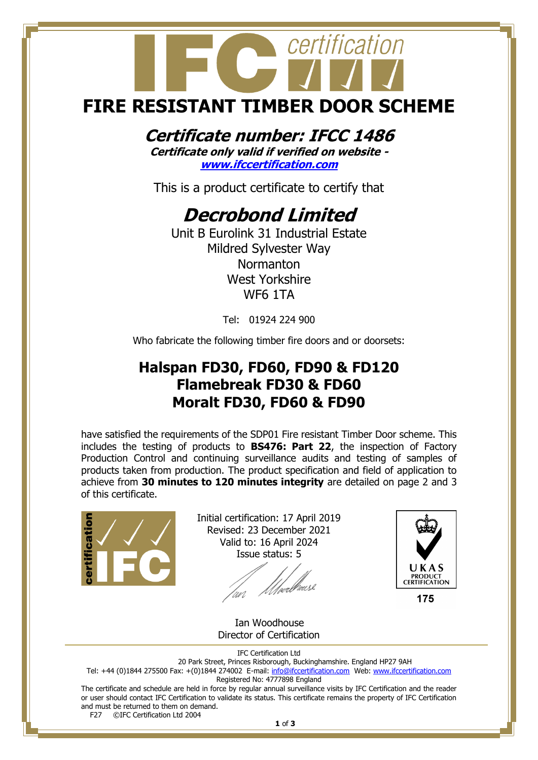## certification **FIRE RESISTANT TIMBER DOOR SCHEME**

#### **Certificate number: IFCC 1486**

**Certificate only valid if verified on website [www.ifccertification.com](http://www.ifccertification.com/)**

This is a product certificate to certify that

### **Decrobond Limited**

Unit B Eurolink 31 Industrial Estate Mildred Sylvester Way Normanton West Yorkshire WF6 1TA

Tel: 01924 224 900

Who fabricate the following timber fire doors and or doorsets:

#### **Halspan FD30, FD60, FD90 & FD120 Flamebreak FD30 & FD60 Moralt FD30, FD60 & FD90**

have satisfied the requirements of the SDP01 Fire resistant Timber Door scheme. This includes the testing of products to **BS476: Part 22**, the inspection of Factory Production Control and continuing surveillance audits and testing of samples of products taken from production. The product specification and field of application to achieve from **30 minutes to 120 minutes integrity** are detailed on page 2 and 3 of this certificate.



Initial certification: 17 April 2019 Revised: 23 December 2021 Valid to: 16 April 2024 Issue status: 5

*Allverbrouse* 



175

 Ian Woodhouse Director of Certification

IFC Certification Ltd

20 Park Street, Princes Risborough, Buckinghamshire. England HP27 9AH Tel: +44 (0)1844 275500 Fax: +(0)1844 274002 E-mail[: info@ifccertification.com](mailto:info@ifccertification.com) Web: [www.ifccertification.com](http://www.ifccertification.com/) Registered No: 4777898 England

The certificate and schedule are held in force by regular annual surveillance visits by IFC Certification and the reader or user should contact IFC Certification to validate its status. This certificate remains the property of IFC Certification and must be returned to them on demand.<br>F27  $\odot$  FC Certification Ltd 2004

©IFC Certification Ltd 2004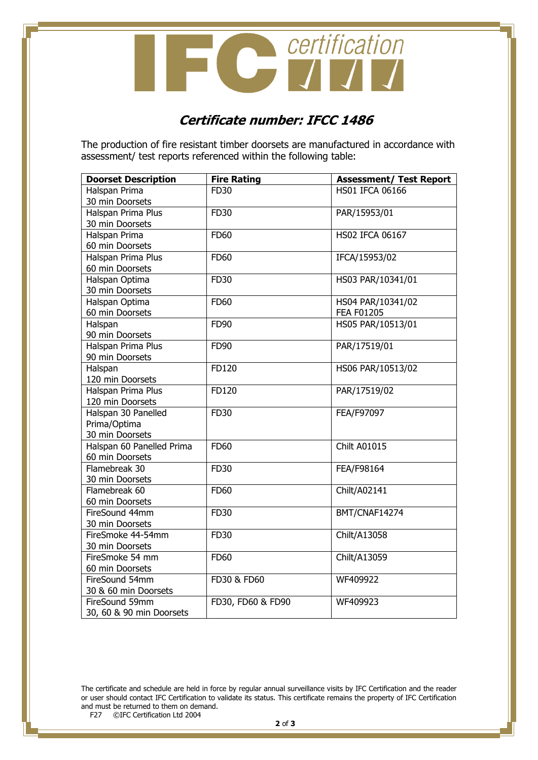

#### **Certificate number: IFCC 1486**

The production of fire resistant timber doorsets are manufactured in accordance with assessment/ test reports referenced within the following table:

| <b>Doorset Description</b> | <b>Fire Rating</b> | <b>Assessment/ Test Report</b> |
|----------------------------|--------------------|--------------------------------|
| Halspan Prima              | <b>FD30</b>        | <b>HS01 IFCA 06166</b>         |
| 30 min Doorsets            |                    |                                |
| Halspan Prima Plus         | FD30               | PAR/15953/01                   |
| 30 min Doorsets            |                    |                                |
| Halspan Prima              | <b>FD60</b>        | <b>HS02 IFCA 06167</b>         |
| 60 min Doorsets            |                    |                                |
| Halspan Prima Plus         | FD60               | IFCA/15953/02                  |
| 60 min Doorsets            |                    |                                |
| Halspan Optima             | FD30               | HS03 PAR/10341/01              |
| 30 min Doorsets            |                    |                                |
| Halspan Optima             | <b>FD60</b>        | HS04 PAR/10341/02              |
| 60 min Doorsets            |                    | <b>FEA F01205</b>              |
| Halspan                    | FD90               | HS05 PAR/10513/01              |
| 90 min Doorsets            |                    |                                |
| Halspan Prima Plus         | FD90               | PAR/17519/01                   |
| 90 min Doorsets            |                    |                                |
| Halspan                    | FD120              | HS06 PAR/10513/02              |
| 120 min Doorsets           |                    |                                |
| Halspan Prima Plus         | FD120              | PAR/17519/02                   |
| 120 min Doorsets           |                    |                                |
| Halspan 30 Panelled        | FD30               | FEA/F97097                     |
| Prima/Optima               |                    |                                |
| 30 min Doorsets            |                    |                                |
| Halspan 60 Panelled Prima  | <b>FD60</b>        | <b>Chilt A01015</b>            |
| 60 min Doorsets            |                    |                                |
| Flamebreak 30              | FD30               | FEA/F98164                     |
| 30 min Doorsets            |                    |                                |
| Flamebreak 60              | <b>FD60</b>        | Chilt/A02141                   |
| 60 min Doorsets            |                    |                                |
| FireSound 44mm             | FD30               | BMT/CNAF14274                  |
| 30 min Doorsets            |                    |                                |
| FireSmoke 44-54mm          | FD30               | Chilt/A13058                   |
| 30 min Doorsets            |                    |                                |
| FireSmoke 54 mm            | <b>FD60</b>        | Chilt/A13059                   |
| 60 min Doorsets            |                    |                                |
| FireSound 54mm             | FD30 & FD60        | WF409922                       |
| 30 & 60 min Doorsets       |                    |                                |
| FireSound 59mm             | FD30, FD60 & FD90  | WF409923                       |
| 30, 60 & 90 min Doorsets   |                    |                                |

The certificate and schedule are held in force by regular annual surveillance visits by IFC Certification and the reader or user should contact IFC Certification to validate its status. This certificate remains the property of IFC Certification and must be returned to them on demand.<br>F27 ©IFC Certification Ltd 2004

©IFC Certification Ltd 2004